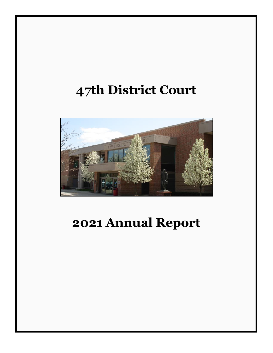# **47th District Court**



# **2021 Annual Report**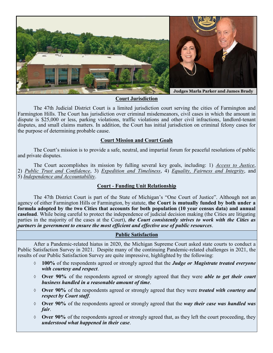

#### **Court Jurisdiction**

The 47th Judicial District Court is a limited jurisdiction court serving the cities of Farmington and Farmington Hills. The Court has jurisdiction over criminal misdemeanors, civil cases in which the amount in dispute is \$25,000 or less, parking violations, traffic violations and other civil infractions, landlord-tenant disputes, and small claims matters. In addition, the Court has initial jurisdiction on criminal felony cases for the purpose of determining probable cause.

#### **Court Mission and Court Goals**

The Court's mission is to provide a safe, neutral, and impartial forum for peaceful resolutions of public and private disputes.

The Court accomplishes its mission by fulling several key goals, including: 1) *Access to Justice*, 2) *Public Trust and Confidence*, 3) *Expedition and Timeliness*, 4) *Equality, Fairness and Integrity*, and 5) *Independence and Accountability*.

### **Court - Funding Unit Relationship**

The 47th District Court is part of the State of Michigan's "One Court of Justice". Although not an agency of either Farmington Hills or Farmington, by statute, **the Court is mutually funded by both under a formula adopted by the two Cities that accounts for both population (10 year census data) and annual caseload**. While being careful to protect the independence of judicial decision making (the Cities are litigating parties in the majority of the cases at the Court), *the Court consistently strives to work with the Cities as partners in government to ensure the most efficient and effective use of public resources*.

#### **Public Satisfaction**

After a Pandemic-related hiatus in 2020, the Michigan Supreme Court asked state courts to conduct a Public Satisfaction Survey in 2021. Despite many of the continuing Pandemic-related challenges in 2021, the results of our Public Satisfaction Survey are quite impressive, highlighted by the following:

- **100%** of the respondents agreed or strongly agreed that the *Judge or Magistrate treated everyone with courtesy and respect*.
- **Over 90%** of the respondents agreed or strongly agreed that they were *able to get their court business handled in a reasonable amount of time*.
- **Over 90%** of the respondents agreed or strongly agreed that they were *treated with courtesy and respect by Court staff*.
- **Over 90%** of the respondents agreed or strongly agreed that the *way their case was handled was fair*.
- **Over 90%** of the respondents agreed or strongly agreed that, as they left the court proceeding, they *understood what happened in their case*.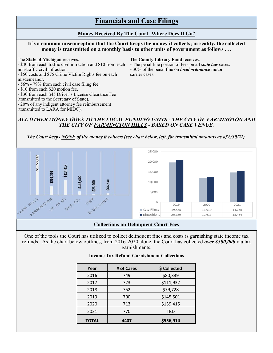## **Financials and Case Filings**

#### **Money Received By The Court -Where Does It Go?**

#### **It's a common misconception that the Court keeps the money it collects; in reality, the collected money is transmitted on a monthly basis to other units of government as follows . . .**

- \$40 from each traffic civil infraction and \$10 from each - The penal fine portion of fees on all *state law* cases. non-traffic civil infraction.  $-30\%$  of the penal fine on *local ordinance* motor

- \$50 costs and \$75 Crime Victim Rights fee on each carrier cases. misdemeanor.

- 56% - 79% from each civil case filing fee.

- \$10 from each \$20 motion fee.

- \$30 from each \$45 Driver's License Clearance Fee

(transmitted to the Secretary of State).

- 20% of any indigent attorney fee reimbursement

(transmitted to LARA for MIDC).

The **State of Michigan** receives: The **County Library Fund** receives:

#### *ALL OTHER MONEY GOES TO THE LOCAL FUNDING UNITS - THE CITY OF FARMINGTON AND THE CITY OF FARMINGTON HILLS - BASED ON CASE VENUE.*

#### *The Court keeps NONE of the money it collects (see chart below, left, for transmittal amounts as of 6/30/21).*



#### **Collections on Delinquent Court Fees**

One of the tools the Court has utilized to collect delinquent fines and costs is garnishing state income tax refunds. As the chart below outlines, from 2016-2020 alone, the Court has collected *over \$500,000* via tax garnishments.

#### **Income Tax Refund Garnishment Collections**

| Year         | # of Cases | \$ Collected |
|--------------|------------|--------------|
| 2016         | 749        | \$80,339     |
| 2017         | 723        | \$111,932    |
| 2018         | 752        | \$79,728     |
| 2019         | 700        | \$145,501    |
| 2020         | 713        | \$139,415    |
| 2021         | 770        | <b>TBD</b>   |
| <b>TOTAL</b> | 4407       | \$556,914    |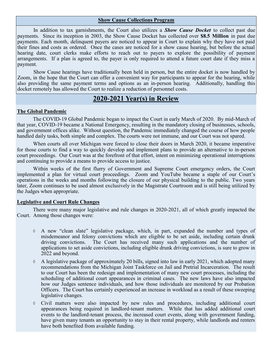#### **Show Cause Collections Program**

In addition to tax garnishments, the Court also utilizes a *Show Cause Docket* to collect past due payments. Since its inception in 2003, the Show Cause Docket has collected over **\$8.5 Million** in past due payments. Each month, delinquent payers are noticed to appear in Court to explain why they have not paid their fines and costs as ordered. Once the cases are noticed for a show cause hearing, but before the actual hearing date, court clerks make efforts to reach out to payers to explore the possibility of payment arrangements. If a plan is agreed to, the payer is only required to attend a future court date if they miss a payment.

Show Cause hearings have traditionally been held in person, but the entire docket is now handled by Zoom, in the hope that the Court can offer a convenient way for participants to appear for the hearing, while also providing the same payment terms and options as an in-person hearing. Additionally, handling this docket remotely has allowed the Court to realize a reduction of personnel costs.

### **2020-2021 Year(s) in Review**

#### **The Global Pandemic**

The COVID-19 Global Pandemic began to impact the Court in early March of 2020. By mid-March of that year, COVID-19 became a National Emergency, resulting in the mandatory closing of businesses, schools, and government offices alike. Without question, the Pandemic immediately changed the course of how people handled daily tasks, both simple and complex. The courts were not immune, and our Court was not spared.

When courts all over Michigan were forced to close their doors in March 2020, it became imperative for those courts to find a way to quickly develop and implement plans to provide an alternative to in-person court proceedings. Our Court was at the forefront of that effort, intent on minimizing operational interruptions and continuing to provide a means to provide access to justice.

Within weeks of the first flurry of Government and Supreme Court emergency orders, the Court implemented a plan for virtual court proceedings. Zoom and YouTube became a staple of our Court's operations in the weeks and months following the closure of our physical building to the public. Two years later, Zoom continues to be used almost exclusively in the Magistrate Courtroom and is still being utilized by the Judges when appropriate.

#### **Legislative and Court Rule Changes**

There were many major legislative and rule changes in 2020-2021, all of which greatly impacted the Court. Among those changes were:

- A new "clean slate" legislative package, which, in part, expanded the number and types of misdemeanor and felony convictions which are eligible to be set aside, including certain drunk driving convictions. The Court has received many such applications and the number of applications to set aside convictions, including eligible drunk driving convictions, is sure to grow in 2022 and beyond.
- $\lozenge$  A legislative package of approximately 20 bills, signed into law in early 2021, which adopted many recommendations from the Michigan Joint Taskforce on Jail and Pretrial Incarceration. The result to our Court has been the redesign and implementation of many new court processes, including the scheduling of additional court appearances in criminal cases. The new laws have also impacted how our Judges sentence individuals, and how those individuals are monitored by our Probation Officers. The Court has certainly experienced an increase in workload as a result of these sweeping legislative changes.
- Civil matters were also impacted by new rules and procedures, including additional court appearances being required in landlord-tenant matters. While that has added additional court events to the landlord-tenant process, the increased court events, along with government funding, have given many tenants an opportunity to stay in their rental property, while landlords and renters have both benefited from available funding.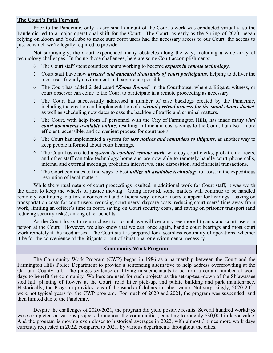#### **The Court's Path Forward**

Prior to the Pandemic, only a very small amount of the Court's work was conducted virtually, so the Pandemic led to a major operational shift for the Court. The Court, as early as the Spring of 2020, began relying on Zoom and YouTube to make sure court users had the necessary access to our Court; the access to justice which we're legally required to provide.

Not surprisingly, the Court experienced many obstacles along the way, including a wide array of technology challenges. In facing those challenges, here are some Court accomplishments:

- The Court staff spent countless hours working to become *experts in remote technology*.
- Court staff have now *assisted and educated thousands of court participants*, helping to deliver the most user-friendly environment and experience possible.
- The Court has added 2 dedicated "*Zoom Rooms*" in the Courthouse, where a litigant, witness, or court observer can come to the Court to participate in a remote proceeding as necessary.
- $\Diamond$  The Court has successfully addressed a number of case backlogs created by the Pandemic, including the creation and implementation of a *virtual pretrial process for the small claims docket*, as well as scheduling new dates to ease the backlog of traffic and criminal matters.
- The Court, with help from IT personnel with the City of Farmington Hills, has made many *vital court documents available online,* resulting in time and cost savings to the Court, but also a more efficient, accessible, and convenient process for court users.
- The Court has implemented a system for *text notices and reminders to litigants*, as another way to keep people informed about court hearings.
- The Court has created a *system to conduct remote work*, whereby court clerks, probation officers, and other staff can take technology home and are now able to remotely handle court phone calls, internal and external meetings, probation interviews, case disposition, and financial transactions.
- The Court continues to find ways to best *utilize all available technology* to assist in the expeditious resolution of legal matters.

While the virtual nature of court proceedings resulted in additional work for Court staff, it was worth the effort to keep the wheels of justice moving. Going forward, some matters will continue to be handled remotely, continuing to afford a convenient and efficient way for court users to appear for hearings – saving on transportation costs for court users, reducing court users' daycare costs, reducing court users' time away from work, limiting an officer's time in court, saving on Court security costs, and saving on prisoner transport (and reducing security risks), among other benefits.

As the Court looks to return closer to normal, we will certainly see more litigants and court users in person at the Court. However, we also know that we can, once again, handle court hearings and most court work remotely if the need arises. The Court staff is prepared for a seamless continuity of operations, whether it be for the convenience of the litigants or out of situational or environmental necessity.

#### **Community Work Program**

The Community Work Program (CWP) began in 1986 as a partnership between the Court and the Farmington Hills Police Department to provide a sentencing alternative to help address overcrowding at the Oakland County jail. The judges sentence qualifying misdemeanants to perform a certain number of work days to benefit the community. Workers are used for such projects as the set-up/tear-down of the Shiawassee sled hill, planting of flowers at the Court, road litter pick-up, and public building and park maintenance. Historically, the Program provides tens of thousands of dollars in labor value. Not surprisingly, 2020-2021 were not typical years for the CWP program. For much of 2020 and 2021, the program was suspended and then limited due to the Pandemic.

Despite the challenges of 2020-2021, the program did yield positive results. Several hundred workdays were completed on various projects throughout the communities, equating to roughly \$30,000 in labor value. And the program is moving even closer to historical averages in 2022, with almost 3 times more work days currently requested in 2022, compared to 2021, by various departments throughout the cities.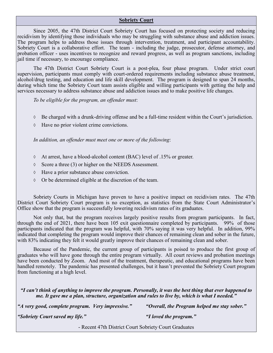#### **Sobriety Court**

Since 2005, the 47th District Court Sobriety Court has focused on protecting society and reducing recidivism by identifying those individuals who may be struggling with substance abuse and addiction issues. The program helps to address those issues through intervention, treatment, and participant accountability. Sobriety Court is a collaborative effort. The team - including the judge, prosecutor, defense attorney, and probation officer - uses incentives to recognize and reward progress, as well as program sanctions, including jail time if necessary, to encourage compliance.

The 47th District Court Sobriety Court is a post-plea, four phase program. Under strict court supervision, participants must comply with court-ordered requirements including substance abuse treatment, alcohol/drug testing, and education and life skill development. The program is designed to span 24 months, during which time the Sobriety Court team assists eligible and willing participants with getting the help and services necessary to address substance abuse and addiction issues and to make positive life changes.

*To be eligible for the program, an offender must*:

- Be charged with a drunk-driving offense and be a full-time resident within the Court's jurisdiction.
- Have no prior violent crime convictions.

*In addition, an offender must meet one or more of the following*:

- At arrest, have a blood-alcohol content (BAC) level of .15% or greater.
- $\Diamond$  Score a three (3) or higher on the NEEDS Assessment.
- Have a prior substance abuse conviction.
- $\lozenge$  Or be determined eligible at the discretion of the team.

Sobriety Courts in Michigan have proven to have a positive impact on recidivism rates. The 47th District Court Sobriety Court program is no exception, as statistics from the State Court Administrator's Office show that the program is successfully lowering recidivism rates of its graduates.

Not only that, but the program receives largely positive results from program participants. In fact, through the end of 2021, there have been 105 exit questionnaire completed by participants. 99% of those participants indicated that the program was helpful, with 70% saying it was very helpful. In addition, 99% indicated that completing the program would improve their chances of remaining clean and sober in the future, with 83% indicating they felt it would greatly improve their chances of remaining clean and sober.

Because of the Pandemic, the current group of participants is poised to produce the first group of graduates who will have gone through the entire program virtually. All court reviews and probation meetings have been conducted by Zoom. And most of the treatment, therapeutic, and educational programs have been handled remotely. The pandemic has presented challenges, but it hasn't prevented the Sobriety Court program from functioning at a high level.

*"I can't think of anything to improve the program. Personally, it was the best thing that ever happened to me. It gave me a plan, structure, organization and rules to live by, which is what I needed."*

*"A very good, complete program. Very impressive." "Overall, the Program helped me stay sober."*

*"Sobriety Court saved my life." "I loved the program."*

- Recent 47th District Court Sobriety Court Graduates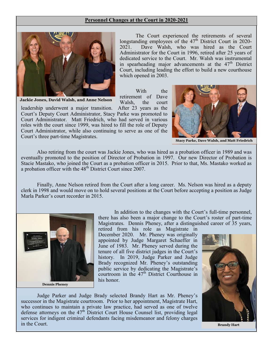#### **Personnel Changes at the Court in 2020-2021**



The Court experienced the retirements of several longstanding employees of the  $47<sup>th</sup>$  District Court in 2020-2021. Dave Walsh, who was hired as the Court Administrator for the Court in 1996, retired after 25 years of dedicated service to the Court. Mr. Walsh was instrumental in spearheading major advancements at the  $47<sup>th</sup>$  District Court, including leading the effort to build a new courthouse which opened in 2003.

With the retirement of Dave Walsh, the court

**Jackie Jones, David Walsh, and Anne Nelson**

leadership underwent a major transition. After 23 years as the Court's Deputy Court Administrator, Stacy Parke was promoted to Court Administrator. Matt Friedrich, who had served in various roles with the court since 1999, was hired to fill the role of Deputy Court Administrator, while also continuing to serve as one of the Court's three part-time Magistrates.



**Stacy Parke, Dave Walsh, and Matt Friedrich**

Also retiring from the court was Jackie Jones, who was hired as a probation officer in 1989 and was eventually promoted to the position of Director of Probation in 1997. Our new Director of Probation is Stacie Mastako, who joined the Court as a probation officer in 2015. Prior to that, Ms. Mastako worked as a probation officer with the  $48<sup>th</sup>$  District Court since 2007.

Finally, Anne Nelson retired from the Court after a long career. Ms. Nelson was hired as a deputy clerk in 1998 and would move on to hold several positions at the Court before accepting a position as Judge Marla Parker's court recorder in 2015.



**Dennis Pheney**

In addition to the changes with the Court's full-time personnel, there has also been a major change to the Court's roster of part-time Magistrates. Dennis Pheney, after a distinguished career of 35 years,

retired from his role as Magistrate in December 2020. Mr. Pheney was originally appointed by Judge Margaret Schaeffer in June of 1983. Mr. Pheney served during the tenure of all five district judges in the Court's history. In 2019, Judge Parker and Judge Brady recognized Mr. Pheney's outstanding public service by dedicating the Magistrate's courtroom in the  $47<sup>th</sup>$  District Courthouse in his honor.

Judge Parker and Judge Brady selected Brandy Hart as Mr. Pheney's successor in the Magistrate courtroom. Prior to her appointment, Magistrate Hart, who continues to maintain a private law practice, had served as one of twelve defense attorneys on the  $47<sup>th</sup>$  District Court House Counsel list, providing legal services for indigent criminal defendants facing misdemeanor and felony charges in the Court.



**Brandy Hart**